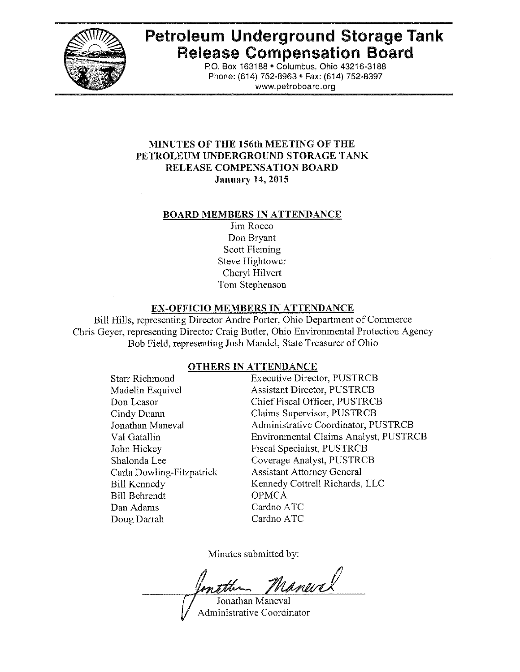

# **Petroleum Underground Storage Tank Release Compensation Board**

po. Box 163188· Columbus, Ohio 43216-3188 Phone: (614) 752-8963 · Fax: (614) 752-8397 www.petroboard.org

## **MINUTES OF THE 156th MEETING OF THE PETROLEUM UNDERGROUND STORAGE TANK RELEASE COMPENSATION BOARD Jannary 14, 2015**

#### **BOARD MEMBERS IN ATTENDANCE**

Jim Rocco Don Bryant Scott Fleming Steve Hightower Cheryl Hilvert Tom Stephenson

## **EX·OFFICIO MEMBERS IN ATTENDANCE**

Bill Hills, representing Director Andre Porter, Ohio Department of Commerce Chris Geyer, representing Director Craig Butler, Ohio Environmental Protection Agency Bob Field, representing Josh Mandel, State Treasurer of Ohio

#### **OTHERS IN ATTENDANCE**

Executive Director, PUSTRCB Assistant Director, PUSTRCB Chief Fiscal Officer, PUSTRCB Claims Supervisor, PUSTRCB Administrative Coordinator, PUSTRCB Environmental Claims Analyst, PUSTRCB Fiscal Specialist, PUSTRCB Coverage Analyst, PUSTRCB Assistant Attorney General Kennedy Cottrell Richards, LLC **OPMCA** Cardno ATC Cardno ATC

Minutes submitted by:

Manurel ntthe Jonathan Maneval

Administrative Coordinator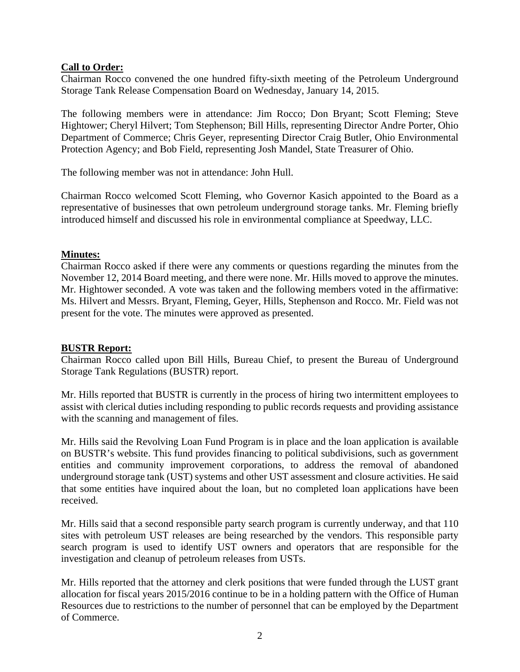# **Call to Order:**

Chairman Rocco convened the one hundred fifty-sixth meeting of the Petroleum Underground Storage Tank Release Compensation Board on Wednesday, January 14, 2015.

The following members were in attendance: Jim Rocco; Don Bryant; Scott Fleming; Steve Hightower; Cheryl Hilvert; Tom Stephenson; Bill Hills, representing Director Andre Porter, Ohio Department of Commerce; Chris Geyer, representing Director Craig Butler, Ohio Environmental Protection Agency; and Bob Field, representing Josh Mandel, State Treasurer of Ohio.

The following member was not in attendance: John Hull.

Chairman Rocco welcomed Scott Fleming, who Governor Kasich appointed to the Board as a representative of businesses that own petroleum underground storage tanks. Mr. Fleming briefly introduced himself and discussed his role in environmental compliance at Speedway, LLC.

# **Minutes:**

Chairman Rocco asked if there were any comments or questions regarding the minutes from the November 12, 2014 Board meeting, and there were none. Mr. Hills moved to approve the minutes. Mr. Hightower seconded. A vote was taken and the following members voted in the affirmative: Ms. Hilvert and Messrs. Bryant, Fleming, Geyer, Hills, Stephenson and Rocco. Mr. Field was not present for the vote. The minutes were approved as presented.

# **BUSTR Report:**

Chairman Rocco called upon Bill Hills, Bureau Chief, to present the Bureau of Underground Storage Tank Regulations (BUSTR) report.

Mr. Hills reported that BUSTR is currently in the process of hiring two intermittent employees to assist with clerical duties including responding to public records requests and providing assistance with the scanning and management of files.

Mr. Hills said the Revolving Loan Fund Program is in place and the loan application is available on BUSTR's website. This fund provides financing to political subdivisions, such as government entities and community improvement corporations, to address the removal of abandoned underground storage tank (UST) systems and other UST assessment and closure activities. He said that some entities have inquired about the loan, but no completed loan applications have been received.

Mr. Hills said that a second responsible party search program is currently underway, and that 110 sites with petroleum UST releases are being researched by the vendors. This responsible party search program is used to identify UST owners and operators that are responsible for the investigation and cleanup of petroleum releases from USTs.

Mr. Hills reported that the attorney and clerk positions that were funded through the LUST grant allocation for fiscal years 2015/2016 continue to be in a holding pattern with the Office of Human Resources due to restrictions to the number of personnel that can be employed by the Department of Commerce.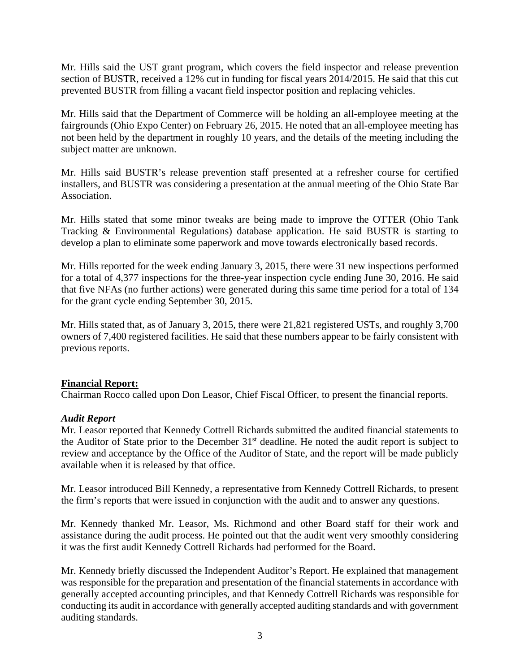Mr. Hills said the UST grant program, which covers the field inspector and release prevention section of BUSTR, received a 12% cut in funding for fiscal years 2014/2015. He said that this cut prevented BUSTR from filling a vacant field inspector position and replacing vehicles.

Mr. Hills said that the Department of Commerce will be holding an all-employee meeting at the fairgrounds (Ohio Expo Center) on February 26, 2015. He noted that an all-employee meeting has not been held by the department in roughly 10 years, and the details of the meeting including the subject matter are unknown.

Mr. Hills said BUSTR's release prevention staff presented at a refresher course for certified installers, and BUSTR was considering a presentation at the annual meeting of the Ohio State Bar Association.

Mr. Hills stated that some minor tweaks are being made to improve the OTTER (Ohio Tank Tracking & Environmental Regulations) database application. He said BUSTR is starting to develop a plan to eliminate some paperwork and move towards electronically based records.

Mr. Hills reported for the week ending January 3, 2015, there were 31 new inspections performed for a total of 4,377 inspections for the three-year inspection cycle ending June 30, 2016. He said that five NFAs (no further actions) were generated during this same time period for a total of 134 for the grant cycle ending September 30, 2015.

Mr. Hills stated that, as of January 3, 2015, there were 21,821 registered USTs, and roughly 3,700 owners of 7,400 registered facilities. He said that these numbers appear to be fairly consistent with previous reports.

# **Financial Report:**

Chairman Rocco called upon Don Leasor, Chief Fiscal Officer, to present the financial reports.

## *Audit Report*

Mr. Leasor reported that Kennedy Cottrell Richards submitted the audited financial statements to the Auditor of State prior to the December 31<sup>st</sup> deadline. He noted the audit report is subject to review and acceptance by the Office of the Auditor of State, and the report will be made publicly available when it is released by that office.

Mr. Leasor introduced Bill Kennedy, a representative from Kennedy Cottrell Richards, to present the firm's reports that were issued in conjunction with the audit and to answer any questions.

Mr. Kennedy thanked Mr. Leasor, Ms. Richmond and other Board staff for their work and assistance during the audit process. He pointed out that the audit went very smoothly considering it was the first audit Kennedy Cottrell Richards had performed for the Board.

Mr. Kennedy briefly discussed the Independent Auditor's Report. He explained that management was responsible for the preparation and presentation of the financial statements in accordance with generally accepted accounting principles, and that Kennedy Cottrell Richards was responsible for conducting its audit in accordance with generally accepted auditing standards and with government auditing standards.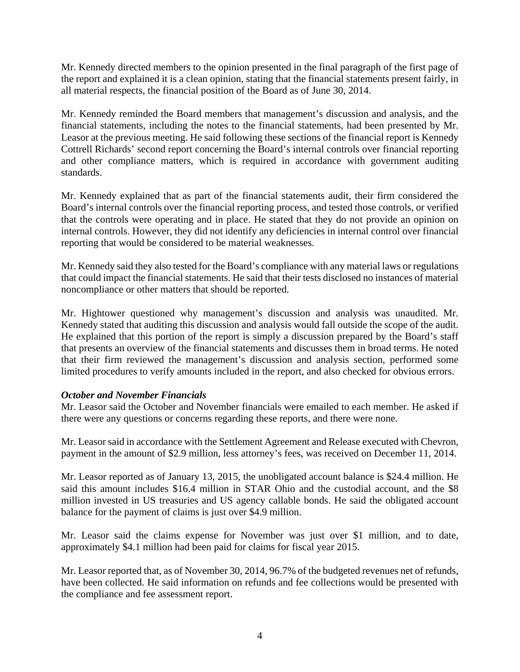Mr. Kennedy directed members to the opinion presented in the final paragraph of the first page of the report and explained it is a clean opinion, stating that the financial statements present fairly, in all material respects, the financial position of the Board as of June 30, 2014.

Mr. Kennedy reminded the Board members that management's discussion and analysis, and the financial statements, including the notes to the financial statements, had been presented by Mr. Leasor at the previous meeting. He said following these sections of the financial report is Kennedy Cottrell Richards' second report concerning the Board's internal controls over financial reporting and other compliance matters, which is required in accordance with government auditing standards.

Mr. Kennedy explained that as part of the financial statements audit, their firm considered the Board's internal controls over the financial reporting process, and tested those controls, or verified that the controls were operating and in place. He stated that they do not provide an opinion on internal controls. However, they did not identify any deficiencies in internal control over financial reporting that would be considered to be material weaknesses.

Mr. Kennedy said they also tested for the Board's compliance with any material laws or regulations that could impact the financial statements. He said that their tests disclosed no instances of material noncompliance or other matters that should be reported.

Mr. Hightower questioned why management's discussion and analysis was unaudited. Mr. Kennedy stated that auditing this discussion and analysis would fall outside the scope of the audit. He explained that this portion of the report is simply a discussion prepared by the Board's staff that presents an overview of the financial statements and discusses them in broad terms. He noted that their firm reviewed the management's discussion and analysis section, performed some limited procedures to verify amounts included in the report, and also checked for obvious errors.

# *October and November Financials*

Mr. Leasor said the October and November financials were emailed to each member. He asked if there were any questions or concerns regarding these reports, and there were none.

Mr. Leasor said in accordance with the Settlement Agreement and Release executed with Chevron, payment in the amount of \$2.9 million, less attorney's fees, was received on December 11, 2014.

Mr. Leasor reported as of January 13, 2015, the unobligated account balance is \$24.4 million. He said this amount includes \$16.4 million in STAR Ohio and the custodial account, and the \$8 million invested in US treasuries and US agency callable bonds. He said the obligated account balance for the payment of claims is just over \$4.9 million.

Mr. Leasor said the claims expense for November was just over \$1 million, and to date, approximately \$4.1 million had been paid for claims for fiscal year 2015.

Mr. Leasor reported that, as of November 30, 2014, 96.7% of the budgeted revenues net of refunds, have been collected. He said information on refunds and fee collections would be presented with the compliance and fee assessment report.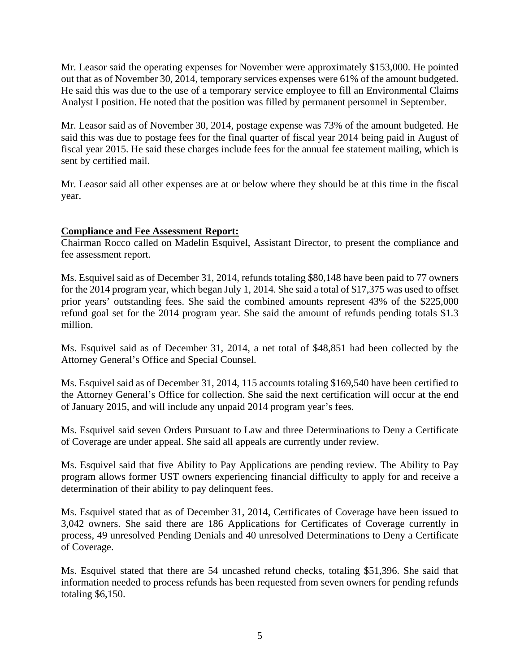Mr. Leasor said the operating expenses for November were approximately \$153,000. He pointed out that as of November 30, 2014, temporary services expenses were 61% of the amount budgeted. He said this was due to the use of a temporary service employee to fill an Environmental Claims Analyst I position. He noted that the position was filled by permanent personnel in September.

Mr. Leasor said as of November 30, 2014, postage expense was 73% of the amount budgeted. He said this was due to postage fees for the final quarter of fiscal year 2014 being paid in August of fiscal year 2015. He said these charges include fees for the annual fee statement mailing, which is sent by certified mail.

Mr. Leasor said all other expenses are at or below where they should be at this time in the fiscal year.

## **Compliance and Fee Assessment Report:**

Chairman Rocco called on Madelin Esquivel, Assistant Director, to present the compliance and fee assessment report.

Ms. Esquivel said as of December 31, 2014, refunds totaling \$80,148 have been paid to 77 owners for the 2014 program year, which began July 1, 2014. She said a total of \$17,375 was used to offset prior years' outstanding fees. She said the combined amounts represent 43% of the \$225,000 refund goal set for the 2014 program year. She said the amount of refunds pending totals \$1.3 million.

Ms. Esquivel said as of December 31, 2014, a net total of \$48,851 had been collected by the Attorney General's Office and Special Counsel.

Ms. Esquivel said as of December 31, 2014, 115 accounts totaling \$169,540 have been certified to the Attorney General's Office for collection. She said the next certification will occur at the end of January 2015, and will include any unpaid 2014 program year's fees.

Ms. Esquivel said seven Orders Pursuant to Law and three Determinations to Deny a Certificate of Coverage are under appeal. She said all appeals are currently under review.

Ms. Esquivel said that five Ability to Pay Applications are pending review. The Ability to Pay program allows former UST owners experiencing financial difficulty to apply for and receive a determination of their ability to pay delinquent fees.

Ms. Esquivel stated that as of December 31, 2014, Certificates of Coverage have been issued to 3,042 owners. She said there are 186 Applications for Certificates of Coverage currently in process, 49 unresolved Pending Denials and 40 unresolved Determinations to Deny a Certificate of Coverage.

Ms. Esquivel stated that there are 54 uncashed refund checks, totaling \$51,396. She said that information needed to process refunds has been requested from seven owners for pending refunds totaling \$6,150.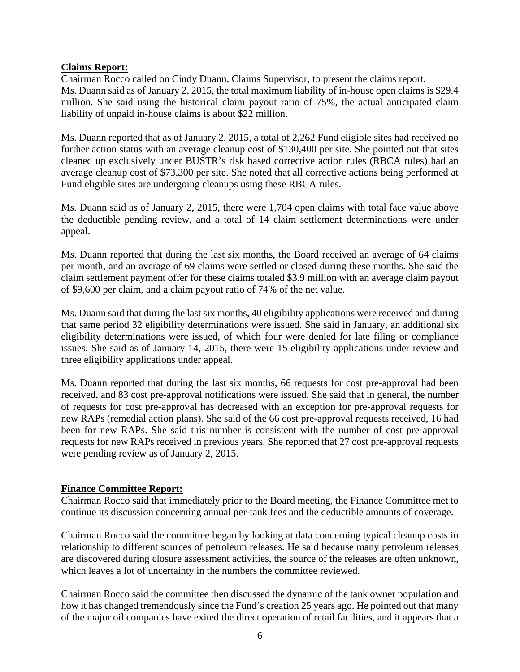## **Claims Report:**

Chairman Rocco called on Cindy Duann, Claims Supervisor, to present the claims report. Ms. Duann said as of January 2, 2015, the total maximum liability of in-house open claims is \$29.4 million. She said using the historical claim payout ratio of 75%, the actual anticipated claim liability of unpaid in-house claims is about \$22 million.

Ms. Duann reported that as of January 2, 2015, a total of 2,262 Fund eligible sites had received no further action status with an average cleanup cost of \$130,400 per site. She pointed out that sites cleaned up exclusively under BUSTR's risk based corrective action rules (RBCA rules) had an average cleanup cost of \$73,300 per site. She noted that all corrective actions being performed at Fund eligible sites are undergoing cleanups using these RBCA rules.

Ms. Duann said as of January 2, 2015, there were 1,704 open claims with total face value above the deductible pending review, and a total of 14 claim settlement determinations were under appeal.

Ms. Duann reported that during the last six months, the Board received an average of 64 claims per month, and an average of 69 claims were settled or closed during these months. She said the claim settlement payment offer for these claims totaled \$3.9 million with an average claim payout of \$9,600 per claim, and a claim payout ratio of 74% of the net value.

Ms. Duann said that during the last six months, 40 eligibility applications were received and during that same period 32 eligibility determinations were issued. She said in January, an additional six eligibility determinations were issued, of which four were denied for late filing or compliance issues. She said as of January 14, 2015, there were 15 eligibility applications under review and three eligibility applications under appeal.

Ms. Duann reported that during the last six months, 66 requests for cost pre-approval had been received, and 83 cost pre-approval notifications were issued. She said that in general, the number of requests for cost pre-approval has decreased with an exception for pre-approval requests for new RAPs (remedial action plans). She said of the 66 cost pre-approval requests received, 16 had been for new RAPs. She said this number is consistent with the number of cost pre-approval requests for new RAPs received in previous years. She reported that 27 cost pre-approval requests were pending review as of January 2, 2015.

# **Finance Committee Report:**

Chairman Rocco said that immediately prior to the Board meeting, the Finance Committee met to continue its discussion concerning annual per-tank fees and the deductible amounts of coverage.

Chairman Rocco said the committee began by looking at data concerning typical cleanup costs in relationship to different sources of petroleum releases. He said because many petroleum releases are discovered during closure assessment activities, the source of the releases are often unknown, which leaves a lot of uncertainty in the numbers the committee reviewed.

Chairman Rocco said the committee then discussed the dynamic of the tank owner population and how it has changed tremendously since the Fund's creation 25 years ago. He pointed out that many of the major oil companies have exited the direct operation of retail facilities, and it appears that a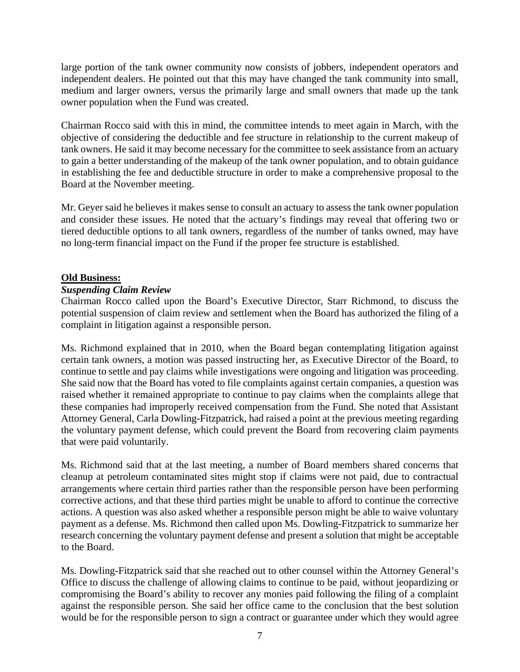large portion of the tank owner community now consists of jobbers, independent operators and independent dealers. He pointed out that this may have changed the tank community into small, medium and larger owners, versus the primarily large and small owners that made up the tank owner population when the Fund was created.

Chairman Rocco said with this in mind, the committee intends to meet again in March, with the objective of considering the deductible and fee structure in relationship to the current makeup of tank owners. He said it may become necessary for the committee to seek assistance from an actuary to gain a better understanding of the makeup of the tank owner population, and to obtain guidance in establishing the fee and deductible structure in order to make a comprehensive proposal to the Board at the November meeting.

Mr. Geyer said he believes it makes sense to consult an actuary to assess the tank owner population and consider these issues. He noted that the actuary's findings may reveal that offering two or tiered deductible options to all tank owners, regardless of the number of tanks owned, may have no long-term financial impact on the Fund if the proper fee structure is established.

## **Old Business:**

## *Suspending Claim Review*

Chairman Rocco called upon the Board's Executive Director, Starr Richmond, to discuss the potential suspension of claim review and settlement when the Board has authorized the filing of a complaint in litigation against a responsible person.

Ms. Richmond explained that in 2010, when the Board began contemplating litigation against certain tank owners, a motion was passed instructing her, as Executive Director of the Board, to continue to settle and pay claims while investigations were ongoing and litigation was proceeding. She said now that the Board has voted to file complaints against certain companies, a question was raised whether it remained appropriate to continue to pay claims when the complaints allege that these companies had improperly received compensation from the Fund. She noted that Assistant Attorney General, Carla Dowling-Fitzpatrick, had raised a point at the previous meeting regarding the voluntary payment defense, which could prevent the Board from recovering claim payments that were paid voluntarily.

Ms. Richmond said that at the last meeting, a number of Board members shared concerns that cleanup at petroleum contaminated sites might stop if claims were not paid, due to contractual arrangements where certain third parties rather than the responsible person have been performing corrective actions, and that these third parties might be unable to afford to continue the corrective actions. A question was also asked whether a responsible person might be able to waive voluntary payment as a defense. Ms. Richmond then called upon Ms. Dowling-Fitzpatrick to summarize her research concerning the voluntary payment defense and present a solution that might be acceptable to the Board.

Ms. Dowling-Fitzpatrick said that she reached out to other counsel within the Attorney General's Office to discuss the challenge of allowing claims to continue to be paid, without jeopardizing or compromising the Board's ability to recover any monies paid following the filing of a complaint against the responsible person. She said her office came to the conclusion that the best solution would be for the responsible person to sign a contract or guarantee under which they would agree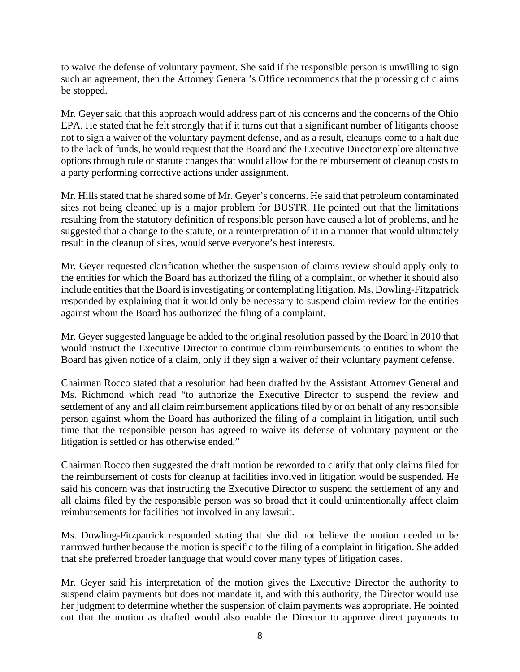to waive the defense of voluntary payment. She said if the responsible person is unwilling to sign such an agreement, then the Attorney General's Office recommends that the processing of claims be stopped.

Mr. Geyer said that this approach would address part of his concerns and the concerns of the Ohio EPA. He stated that he felt strongly that if it turns out that a significant number of litigants choose not to sign a waiver of the voluntary payment defense, and as a result, cleanups come to a halt due to the lack of funds, he would request that the Board and the Executive Director explore alternative options through rule or statute changes that would allow for the reimbursement of cleanup costs to a party performing corrective actions under assignment.

Mr. Hills stated that he shared some of Mr. Geyer's concerns. He said that petroleum contaminated sites not being cleaned up is a major problem for BUSTR. He pointed out that the limitations resulting from the statutory definition of responsible person have caused a lot of problems, and he suggested that a change to the statute, or a reinterpretation of it in a manner that would ultimately result in the cleanup of sites, would serve everyone's best interests.

Mr. Geyer requested clarification whether the suspension of claims review should apply only to the entities for which the Board has authorized the filing of a complaint, or whether it should also include entities that the Board is investigating or contemplating litigation. Ms. Dowling-Fitzpatrick responded by explaining that it would only be necessary to suspend claim review for the entities against whom the Board has authorized the filing of a complaint.

Mr. Geyer suggested language be added to the original resolution passed by the Board in 2010 that would instruct the Executive Director to continue claim reimbursements to entities to whom the Board has given notice of a claim, only if they sign a waiver of their voluntary payment defense.

Chairman Rocco stated that a resolution had been drafted by the Assistant Attorney General and Ms. Richmond which read "to authorize the Executive Director to suspend the review and settlement of any and all claim reimbursement applications filed by or on behalf of any responsible person against whom the Board has authorized the filing of a complaint in litigation, until such time that the responsible person has agreed to waive its defense of voluntary payment or the litigation is settled or has otherwise ended."

Chairman Rocco then suggested the draft motion be reworded to clarify that only claims filed for the reimbursement of costs for cleanup at facilities involved in litigation would be suspended. He said his concern was that instructing the Executive Director to suspend the settlement of any and all claims filed by the responsible person was so broad that it could unintentionally affect claim reimbursements for facilities not involved in any lawsuit.

Ms. Dowling-Fitzpatrick responded stating that she did not believe the motion needed to be narrowed further because the motion is specific to the filing of a complaint in litigation. She added that she preferred broader language that would cover many types of litigation cases.

Mr. Geyer said his interpretation of the motion gives the Executive Director the authority to suspend claim payments but does not mandate it, and with this authority, the Director would use her judgment to determine whether the suspension of claim payments was appropriate. He pointed out that the motion as drafted would also enable the Director to approve direct payments to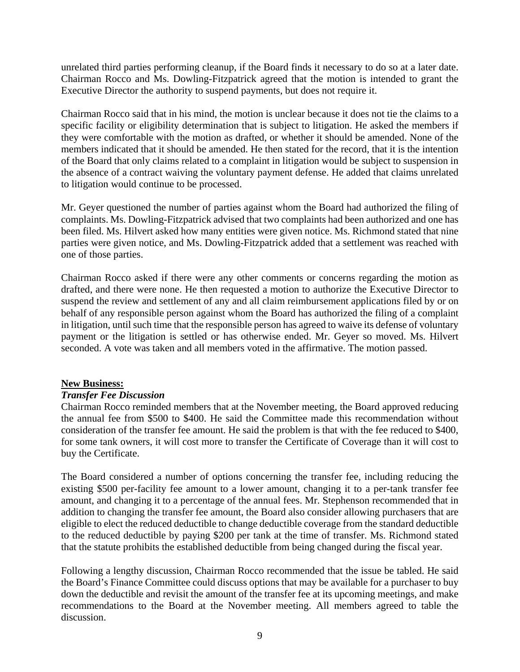unrelated third parties performing cleanup, if the Board finds it necessary to do so at a later date. Chairman Rocco and Ms. Dowling-Fitzpatrick agreed that the motion is intended to grant the Executive Director the authority to suspend payments, but does not require it.

Chairman Rocco said that in his mind, the motion is unclear because it does not tie the claims to a specific facility or eligibility determination that is subject to litigation. He asked the members if they were comfortable with the motion as drafted, or whether it should be amended. None of the members indicated that it should be amended. He then stated for the record, that it is the intention of the Board that only claims related to a complaint in litigation would be subject to suspension in the absence of a contract waiving the voluntary payment defense. He added that claims unrelated to litigation would continue to be processed.

Mr. Geyer questioned the number of parties against whom the Board had authorized the filing of complaints. Ms. Dowling-Fitzpatrick advised that two complaints had been authorized and one has been filed. Ms. Hilvert asked how many entities were given notice. Ms. Richmond stated that nine parties were given notice, and Ms. Dowling-Fitzpatrick added that a settlement was reached with one of those parties.

Chairman Rocco asked if there were any other comments or concerns regarding the motion as drafted, and there were none. He then requested a motion to authorize the Executive Director to suspend the review and settlement of any and all claim reimbursement applications filed by or on behalf of any responsible person against whom the Board has authorized the filing of a complaint in litigation, until such time that the responsible person has agreed to waive its defense of voluntary payment or the litigation is settled or has otherwise ended. Mr. Geyer so moved. Ms. Hilvert seconded. A vote was taken and all members voted in the affirmative. The motion passed.

# **New Business:**

## *Transfer Fee Discussion*

Chairman Rocco reminded members that at the November meeting, the Board approved reducing the annual fee from \$500 to \$400. He said the Committee made this recommendation without consideration of the transfer fee amount. He said the problem is that with the fee reduced to \$400, for some tank owners, it will cost more to transfer the Certificate of Coverage than it will cost to buy the Certificate.

The Board considered a number of options concerning the transfer fee, including reducing the existing \$500 per-facility fee amount to a lower amount, changing it to a per-tank transfer fee amount, and changing it to a percentage of the annual fees. Mr. Stephenson recommended that in addition to changing the transfer fee amount, the Board also consider allowing purchasers that are eligible to elect the reduced deductible to change deductible coverage from the standard deductible to the reduced deductible by paying \$200 per tank at the time of transfer. Ms. Richmond stated that the statute prohibits the established deductible from being changed during the fiscal year.

Following a lengthy discussion, Chairman Rocco recommended that the issue be tabled. He said the Board's Finance Committee could discuss options that may be available for a purchaser to buy down the deductible and revisit the amount of the transfer fee at its upcoming meetings, and make recommendations to the Board at the November meeting. All members agreed to table the discussion.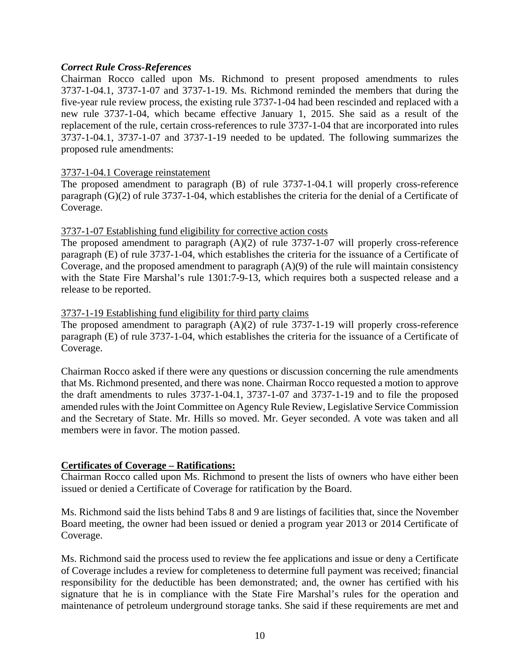## *Correct Rule Cross-References*

Chairman Rocco called upon Ms. Richmond to present proposed amendments to rules 3737-1-04.1, 3737-1-07 and 3737-1-19. Ms. Richmond reminded the members that during the five-year rule review process, the existing rule 3737-1-04 had been rescinded and replaced with a new rule 3737-1-04, which became effective January 1, 2015. She said as a result of the replacement of the rule, certain cross-references to rule 3737-1-04 that are incorporated into rules 3737-1-04.1, 3737-1-07 and 3737-1-19 needed to be updated. The following summarizes the proposed rule amendments:

## 3737-1-04.1 Coverage reinstatement

The proposed amendment to paragraph (B) of rule 3737-1-04.1 will properly cross-reference paragraph (G)(2) of rule 3737-1-04, which establishes the criteria for the denial of a Certificate of Coverage.

#### 3737-1-07 Establishing fund eligibility for corrective action costs

The proposed amendment to paragraph (A)(2) of rule 3737-1-07 will properly cross-reference paragraph (E) of rule 3737-1-04, which establishes the criteria for the issuance of a Certificate of Coverage, and the proposed amendment to paragraph (A)(9) of the rule will maintain consistency with the State Fire Marshal's rule 1301:7-9-13, which requires both a suspected release and a release to be reported.

#### 3737-1-19 Establishing fund eligibility for third party claims

The proposed amendment to paragraph (A)(2) of rule 3737-1-19 will properly cross-reference paragraph (E) of rule 3737-1-04, which establishes the criteria for the issuance of a Certificate of Coverage.

Chairman Rocco asked if there were any questions or discussion concerning the rule amendments that Ms. Richmond presented, and there was none. Chairman Rocco requested a motion to approve the draft amendments to rules 3737-1-04.1, 3737-1-07 and 3737-1-19 and to file the proposed amended rules with the Joint Committee on Agency Rule Review, Legislative Service Commission and the Secretary of State. Mr. Hills so moved. Mr. Geyer seconded. A vote was taken and all members were in favor. The motion passed.

## **Certificates of Coverage – Ratifications:**

Chairman Rocco called upon Ms. Richmond to present the lists of owners who have either been issued or denied a Certificate of Coverage for ratification by the Board.

Ms. Richmond said the lists behind Tabs 8 and 9 are listings of facilities that, since the November Board meeting, the owner had been issued or denied a program year 2013 or 2014 Certificate of Coverage.

Ms. Richmond said the process used to review the fee applications and issue or deny a Certificate of Coverage includes a review for completeness to determine full payment was received; financial responsibility for the deductible has been demonstrated; and, the owner has certified with his signature that he is in compliance with the State Fire Marshal's rules for the operation and maintenance of petroleum underground storage tanks. She said if these requirements are met and